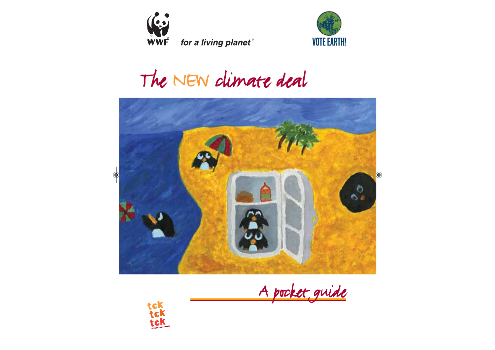

for a living planet®



The NEW climate deal



A pocket guide

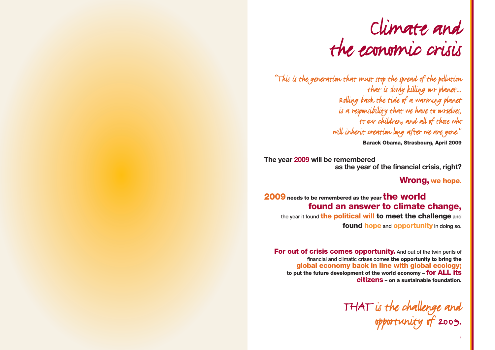### Climate and the economic crisis

"This is the generation that must stop the spread of the pollution that is slowly killing our planet... Rolling back the tide of a warming planet is a responsibility that we have to ourselves, to our children, and all of those who will inherit creation long after we are gone."

**Barack Obama, Strasbourg, April 2009**

**The year 2009 will be remembered as the year of the financial crisis, right?** 

**Wrong, we hope.**

### **2009needs to be remembered as the year the world found an answer to climate change,**

the year it found **the political will to meet the challenge** and **found hope** and **opportunity** in doing so.

**For out of crisis comes opportunity.** And out of the twin perils of financial and climatic crises comes **the opportunity to bring the global economy back in line with global ecology; to put the future development of the world economy – for ALL its citizens – on a sustainable foundation.**

> THAT is the challenge and opportunity of 2009.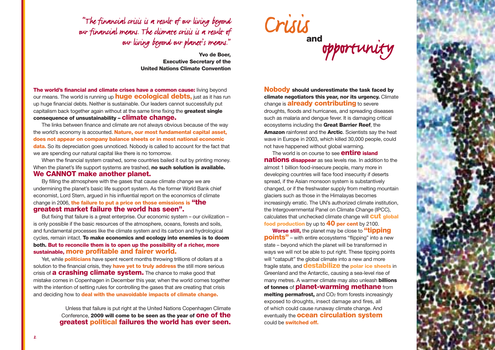"The financial crisis is a result of our living beyond our financial means. The climate crisis is a result of our living beyond our planet's means."

> **Yvo de Boer, Executive Secretary of the United Nations Climate Convention**

**The world's financial and climate crises have a common cause:** living beyond our means. The world is running up **huge ecological debts,** just as it has run up huge financial debts. Neither is sustainable. Our leaders cannot successfully put capitalism back together again without at the same time fixing the **greatest single consequence of unsustainability – climate change.**

The links between finance and climate are not always obvious because of the way the world's economy is accounted. **Nature, our most fundamental capital asset, does not appear on company balance sheets or in most national economic data.** So its depreciation goes unnoticed. Nobody is called to account for the fact that we are spending our natural capital like there is no tomorrow.

When the financial system crashed, some countries bailed it out by printing money. When the planet's life support systems are trashed, **no such solution is available. We CANNOT make another planet.**

By filling the atmosphere with the gases that cause climate change we are undermining the planet's basic life support system. As the former World Bank chief economist, Lord Stern, argued in his influential report on the economics of climate change in 2006, **the failure to put a price on those emissions is "the greatest market failure the world has seen".**

But fixing that failure is a great enterprise. Our economic system – our civilization – is only possible if the basic resources of the atmosphere, oceans, forests and soils, and fundamental processes like the climate system and its carbon and hydrological cycles, remain intact. **To make economics and ecology into enemies is to doom both. But to reconcile them is to open up the possibility of a richer, more sustainable, more profitable and fairer world.**

Yet, while **politicians** have spent recent months throwing trillions of dollars at a solution to the financial crisis, they **have yet to truly address** the still more serious crisis of **a crashing climate system.** The chance to make good that mistake comes in Copenhagen in December this year, when the world comes together with the intention of setting rules for controlling the gases that are creating that crisis and deciding how to **deal with the unavoidable impacts of climate change.**

> Unless that failure is put right at the United Nations Copenhagen Climate Conference, **2009 will come to be seen as the year of one of the greatest political failures the world has ever seen.**

Crisis **and**  opportunity

**Nobody should underestimate the task faced by climate negotiators this year, nor its urgency.** Climate change is **already contributing** to severe droughts, floods and hurricanes, and spreading diseases such as malaria and dengue fever. It is damaging critical ecosystems including the **Great Barrier Reef**, the **Amazon** rainforest and the **Arctic**. Scientists say the heat wave in Europe in 2003, which killed 30,000 people, could not have happened without global warming.

The world is on course to see **entire island nations disappear** as sea levels rise. In addition to the almost 1 billion food-insecure people, many more in developing countries will face food insecurity if deserts spread, if the Asian monsoon system is substantively changed, or if the freshwater supply from melting mountain glaciers such as those in the Himalayas becomes increasingly erratic. The UN's authorized climate institution, the Intergovernmental Panel on Climate Change (IPCC), calculates that unchecked climate change will **cut global food production** by up to **40 per cent** by 2100.

**Worse still,** the planet may be close to **"tipping points"** – with entire ecosystems "flipping" into a new state – beyond which the planet will be transformed in ways we will not be able to put right. These tipping points will "catapult" the global climate into a new and more fragile state, and **destabilize** the **polar ice sheets** in Greenland and the Antarctic, causing a sea-level rise of many metres. A warmer climate may also unleash **billions of tonnes** of **planet-warming methane** from **melting permafrost,** and CO<sub>2</sub> from forests increasingly exposed to droughts, insect damage and fires, all of which could cause runaway climate change. And eventually the **ocean circulation system** could be **switched off.**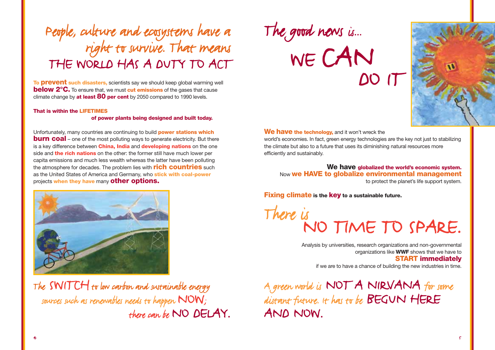### People, culture and ecosystems have a right to survive. That means THE WORLD HAS A DUTY TO ACT

**To prevent such disasters,** scientists say we should keep global warming well **below 2°C.** To ensure that, we must **cut emissions** of the gases that cause climate change by **at least 80 per cent** by 2050 compared to 1990 levels.

#### **That is within the LIFETIMES**

#### **of power plants being designed and built today.**

Unfortunately, many countries are continuing to build **power stations which burn coal** – one of the most polluting ways to generate electricity. But there is a key difference between **China, India** and **developing nations** on the one side and **the rich nations** on the other: the former still have much lower per capita emissions and much less wealth whereas the latter have been polluting the atmosphere for decades. The problem lies with **rich countries** such as the United States of America and Germany, who **stick with coal-power** projects **when they have** many **other options.**



The SWITCH to low carbon and sustainable energy sources such as renewables needs to happen NOW; there can be NO DELAY.

The good news is...

WE CAN DO IT



#### **We have the technology,** and it won't wreck the

world's economies. In fact, green energy technologies are the key not just to stabilizing the climate but also to a future that uses its diminishing natural resources more efficiently and sustainably.

**We have globalized the world's economic system.** Now **we HAVE to globalize environmental management** to protect the planet's life support system.

**Fixing climate is the key to a sustainable future.**

# There is<br>NO TIME TO SPARE.

Analysis by universities, research organizations and non-governmental organizations like **WWF** shows that we have to **START immediately** if we are to have a chance of building the new industries in time.

A green world is NOT A NIRVANA for some distant future. It has to be BEGUN HERE AND NOW.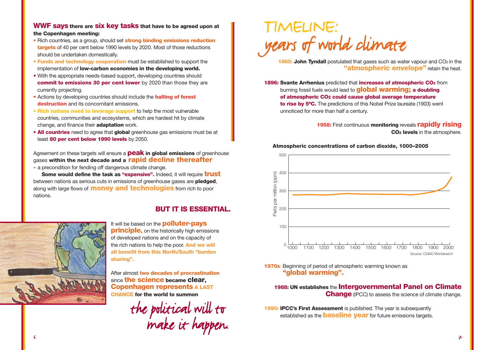### **WWF says there are six key tasks that have to be agreed upon at the Copenhagen meeting:**

- **•** Rich countries, as a group, should set **strong binding emissions reduction targets** of 40 per cent below 1990 levels by 2020. Most of those reductions should be undertaken domestically.
- **Funds and technology cooperation** must be established to support the implementation of **low-carbon economies in the developing world.**
- **•** With the appropriate needs-based support, developing countries should **commit to emissions 30 per cent lower** by 2020 than those they are currently projecting.
- **•** Actions by developing countries should include the **halting of forest destruction** and its concomitant emissions.
- **• Rich nations need to leverage support** to help the most vulnerable countries, communities and ecosystems, which are hardest hit by climate change, and finance their **adaptation** work.
- **• All countries** need to agree that **global** greenhouse gas emissions must be at least **80 per cent below 1990 levels** by 2050.

Agreement on these targets will ensure a **peak in global emissions** of greenhouse gases **within the next decade and a rapid decline thereafter** – a precondition for fending off dangerous climate change.

**Some would define the task as "expensive".** Indeed, it will require **trust** between nations as serious cuts in emissions of greenhouse gases are **pledged**, along with large flows of **money and technologies** from rich to poor nations.

### **BUT IT IS ESSENTIAL.**



It will be based on the **polluter-pays principle,** on the historically high emissions of developed nations and on the capacity of the rich nations to help the poor. **And we will all benefit from this North/South "burden sharing".**

After almost **two decades of procrastination** since **the science became clear, Copenhagen represents A LAST CHANCE for the world to summon** 

the political will to make it happen.

### TIME LINE : years of world climate

**1865: John Tyndall** postulated that gases such as water vapour and CO<sub>2</sub> in the **"atmospheric envelope"** retain the heat.

**1896: Svante Arrhenius** predicted that **increases of atmospheric CO2** from burning fossil fuels would lead to **global warming; a doubling of atmospheric CO2 could cause global average temperature to rise by 5ºC.** The predictions of this Nobel Prize laureate (1903) went unnoticed for more than half a century.

> **1958:** First continuous **monitoring** reveals **rapidly rising CO2 levels** in the atmosphere.

#### **Atmospheric concentrations of carbon dioxide, 1000–2005**



### **1970s**: Beginning of period of atmospheric warming known as **"global warming".**

### **1988: UN establishes** the **Intergovernmental Panel on Climate Change** (IPCC) to assess the science of climate change.

**1990: IPCC's First Assessment** is published. The year is subsequently established as the **baseline year** for future emissions targets.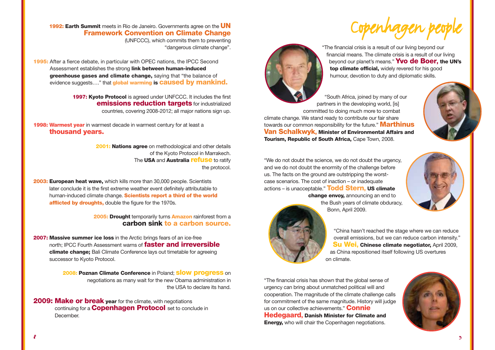**1992: Earth Summit** meets in Rio de Janeiro. Governments agree on the **UN Framework Convention on Climate Change** (UNFCCC), which commits them to preventing

**1995:** After a fierce debate, in particular with OPEC nations, the IPCC Second Assessment establishes the strong **link between human-induced greenhouse gases and climate change,** saying that "the balance of evidence suggests…." that **global warming is caused by mankind.**

> **1997: Kyoto Protocol** is agreed under UNFCCC. It includes the first **emissions reduction targets** for industrialized countries, covering 2008-2012; all major nations sign up.

**1998: Warmest year** in warmest decade in warmest century for at least a **thousand years.**

> **2001: Nations agree** on methodological and other details of the Kyoto Protocol in Marrakech. The **USA** and **Australia refuse** to ratify the protocol.

"dangerous climate change".

**2003: European heat wave,** which kills more than 30,000 people. Scientists later conclude it is the first extreme weather event definitely attributable to human-induced climate change. **Scientists report a third of the world afflicted by droughts,** double the figure for the 1970s.

> **2005: Drought** temporarily turns **Amazon** rainforest from a **carbon sink to a carbon source.**

**2007: Massive summer ice loss** in the Arctic brings fears of an ice-free north; IPCC Fourth Assessment warns of **faster and irreversible climate change;** Bali Climate Conference lays out timetable for agreeing successor to Kyoto Protocol.

> **2008: Poznan Climate Conference** in Poland; **slow progress** on negotiations as many wait for the new Obama administration in the USA to declare its hand.

**2009: Make or break vear** for the climate, with negotiations continuing for a **Copenhagen Protocol** set to conclude in **December** 





"The financial crisis is a result of our living beyond our financial means. The climate crisis is a result of our living beyond our planet's means." **Yvo de Boer, the UN's top climate official,** widely revered for his good humour, devotion to duty and diplomatic skills.

"South Africa, joined by many of our partners in the developing world, [is] committed to doing much more to combat climate change. We stand ready to contribute our fair share towards our common responsibility for the future." **Marthinus Van Schalkwyk, Minister of Environmental Affairs and Tourism, Republic of South Africa, Cape Town, 2008.** 

the Bush years of climate obduracy,

Bonn, April 2009.

"We do not doubt the science, we do not doubt the urgency, and we do not doubt the enormity of the challenge before us. The facts on the ground are outstripping the worstcase scenarios. The cost of inaction – or inadequate actions – is unacceptable." **Todd Stern, US climate change envoy,** announcing an end to





"China hasn't reached the stage where we can reduce overall emissions, but we can reduce carbon intensity." **Su Wei, Chinese climate negotiator,** April 2009, as China repositioned itself following US overtures on climate.

"The financial crisis has shown that the global sense of urgency can bring about unmatched political will and cooperation. The magnitude of the climate challenge calls for commitment of the same magnitude. History will judge us on our collective achievements." **Connie Hedegaard, Danish Minister for Climate and Energy,** who will chair the Copenhagen negotiations.

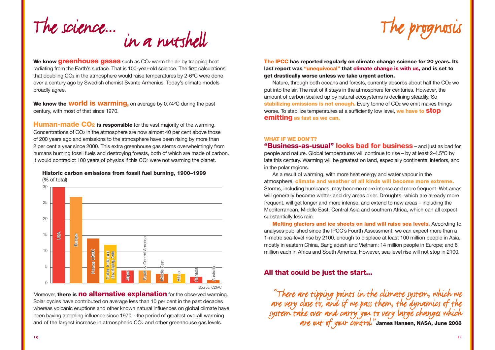

**We know greenhouse gases** such as CO<sub>2</sub> warm the air by trapping heat radiating from the Earth's surface. That is 100-year-old science. The first calculations that doubling CO2 in the atmosphere would raise temperatures by 2-6ºC were done over a century ago by Swedish chemist Svante Arrhenius. Today's climate models broadly agree.

**We know the world is warming,** on average by 0.74ºC during the past century, with most of that since 1970.

**Human-made CO<sub>2</sub>** is responsible for the vast majority of the warming. Concentrations of CO2 in the atmosphere are now almost 40 per cent above those of 200 years ago and emissions to the atmosphere have been rising by more than 2 per cent a year since 2000. This extra greenhouse gas stems overwhelmingly from humans burning fossil fuels and destroying forests, both of which are made of carbon. It would contradict 100 years of physics if this CO<sub>2</sub> were not warming the planet.

**Historic carbon emissions from fossil fuel burning, 1900–1999**  (% of total)



Moreover, **there is no alternative explanation** for the observed warming. Solar cycles have contributed on average less than 10 per cent in the past decades whereas volcanic eruptions and other known natural influences on global climate have been having a cooling influence since 1970 – the period of greatest overall warming and of the largest increase in atmospheric CO2 and other greenhouse gas levels.



**The IPCC has reported regularly on climate change science for 20 years. Its last report was "unequivocal" that climate change is with us, and is set to get drastically worse unless we take urgent action.** 

Nature, through both oceans and forests, currently absorbs about half the CO<sub>2</sub> we put into the air. The rest of it stays in the atmosphere for centuries. However, the amount of carbon soaked up by natural ecosystems is declining steadily. So stabilizing emissions is not enough. Every tonne of CO<sub>2</sub> we emit makes things worse. To stabilize temperatures at a sufficiently low level, **we have to stop emitting as fast as we can.**

#### **WHAT IF WE DON'T?**

**"Business-as-usual" looks bad for business** – and just as bad for people and nature. Global temperatures will continue to rise – by at least 2-4.5ºC by late this century. Warming will be greatest on land, especially continental interiors, and in the polar regions.

As a result of warming, with more heat energy and water vapour in the atmosphere, **climate and weather of all kinds will become more extreme.** Storms, including hurricanes, may become more intense and more frequent. Wet areas will generally become wetter and dry areas drier. Droughts, which are already more frequent, will get longer and more intense, and extend to new areas – including the Mediterranean, Middle East, Central Asia and southern Africa, which can all expect substantially less rain.

**Melting glaciers and ice sheets on land will raise sea levels.** According to analyses published since the IPCC's Fourth Assessment, we can expect more than a 1-metre sea-level rise by 2100, enough to displace at least 100 million people in Asia, mostly in eastern China, Bangladesh and Vietnam; 14 million people in Europe; and 8 million each in Africa and South America. However, sea-level rise will not stop in 2100.

### **All that could be just the start...**

"There are tipping points in the climate system, which we are very close to, and if we pass them, the dynamics of the system take over and carry you to very large changes which are out of your control."**James Hansen, NASA, June 2008**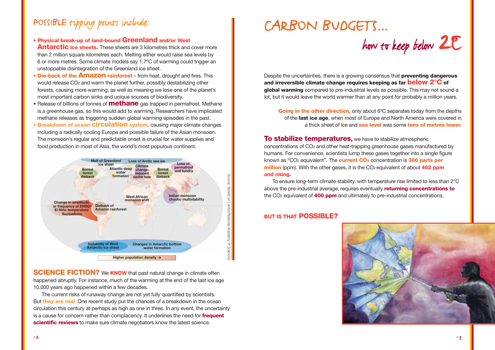### POSSIBLE tipping points include:

- **Physical break-up of land-bound Greenland and/or West Antarctic ice sheets.** These sheets are 3 kilometres thick and cover more than 2 million square kilometres each. Melting either would raise sea levels by 6 or more metres. Some climate models say 1.7ºC of warming could trigger an unstoppable disintegration of the Greenland ice sheet.
- **Die-back of the Amazon rainforest** from heat, drought and fires. This would release CO2 and warm the planet further, possibly destabilizing other forests, causing more warming, as well as meaning we lose one of the planet's most important carbon sinks and unique sources of biodiversity.
- Release of billions of tonnes of **methane** gas trapped in permafrost. Methane is a greenhouse gas, so this would add to warming. Researchers have implicated methane releases as triggering sudden global warming episodes in the past.
- **Breakdown of ocean circulation system,** causing major climate changes including a radically cooling Europe and possible failure of the Asian monsoon. The monsoon's regular and predictable onset is crucial for water supplies and food production in most of Asia, the world's most populous continent.



**SCIENCE FICTION?** We **KNOW** that past natural change in climate often happened abruptly. For instance, much of the warming at the end of the last ice age 10,000 years ago happened within a few decades.

The current risks of runaway change are not yet fully quantified by scientists. But **they are real**. One recent study put the chances of a breakdown in the ocean circulation this century at perhaps as high as one in three. In any event, the uncertainty is a cause for concern rather than complacency. It underlines the need for **frequent scientific reviews** to make sure climate negotiators know the latest science.

### CARBON BUDGETS...

how to keep below 2**<sup>º</sup>**C

Despite the uncertainties, there is a growing consensus that **preventing dangerous and irreversible climate change requires keeping as far below 2°C of global warming** compared to pre-industrial levels as possible. This may not sound a lot, but it would leave the world warmer than at any point for probably a million years.

**Going in the other direction,** only about 6°C separates today from the depths of the **last ice age**, when most of Europe and North America were covered in a thick sheet of ice and **sea level** was some **tens of metres lower.**

**To stabilize temperatures,** we have to stabilize atmospheric concentrations of CO2 and other heat-trapping greenhouse gases manufactured by humans. For convenience, scientists lump these gases together into a single figure known as "CO2 equivalent". The **current CO2** concentration is **386 parts per million** (ppm). With the other gases, it is the CO<sub>2</sub> equivalent of about **462 ppm and rising.**

To ensure long-term climate stability, with temperature rise limited to less than 2°C above the pre-industrial average, requires eventually **returning concentrations to** the CO2 equivalent of **400 ppm** and ultimately to pre-industrial concentrations.

### **BUT IS THAT POSSIBLE?**

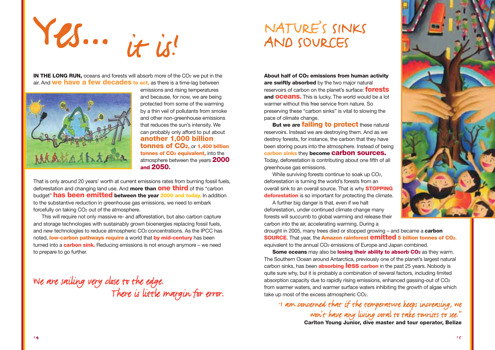Yes... it is!

**IN THE LONG RUN,** oceans and forests will absorb more of the CO<sub>2</sub> we put in the air. And **we have a few decades to act,** as there is a time-lag between



emissions and rising temperatures and because, for now, we are being protected from some of the warming by a thin veil of pollutants from smoke and other non-greenhouse emissions that reduces the sun's intensity. We can probably only afford to put about **another 1,000 billion tonnes of CO2,** or **1,400 billion tonnes of CO<sub>2</sub> equivalent, into the** atmosphere between the years **2000 and 2050.**

That is only around 20 years' worth at current emissions rates from burning fossil fuels, deforestation and changing land use. And **more than one third** of this "carbon budget" **has been emitted between the year 2000 and today.** In addition to the substantive reduction in greenhouse gas emissions, we need to embark forcefully on taking CO<sub>2</sub> out of the atmosphere.

This will require not only massive re- and afforestation, but also carbon capture and storage technologies with sustainably grown bioenergies replacing fossil fuels, and new technologies to reduce atmospheric CO2 concentrations. As the IPCC has noted, **low-carbon pathways require** a world that **by mid-century** has been turned into a **carbon sink.** Reducing emissions is not enough anymore – we need to prepare to go further.

We are sailing very close to the edge.<br>There is little margin for error.

### NATURE'S SINKS AND SOURCES

**About half of CO2 emissions from human activity are swiftly absorbed** by the two major natural reservoirs of carbon on the planet's surface: **forests and oceans.** This is lucky. The world would be a lot warmer without this free service from nature. So preserving these "carbon sinks" is vital to slowing the pace of climate change.

**But we are failing to protect these natural** reservoirs. Instead we are destroying them. And as we destroy forests, for instance, the carbon that they have been storing pours into the atmosphere. Instead of being **carbon sinks** they **become carbon sources.** Today, deforestation is contributing about one fifth of all greenhouse gas emissions.

While surviving forests continue to soak up CO<sub>2</sub>. deforestation is turning the world's forests from an overall sink to an overall source. That is why **STOPPING deforestation** is so important for protecting the climate.

A further big danger is that, even if we halt deforestation, under continued climate change many forests will succumb to global warming and release their carbon into the air, accelerating warming. During a

drought in 2005, many trees died or stopped growing – and became a **carbon SOURCE**. That year, the **Amazon rainforest emitted 5 billion tonnes of CO2**, equivalent to the annual CO<sub>2</sub> emissions of Europe and Japan combined.

**Some oceans** may also be **losing their ability to absorb CO**<sub>2</sub> as they warm. The Southern Ocean around Antarctica, previously one of the planet's largest natural carbon sinks, has been **absorbing less carbon** in the past 25 years. Nobody is quite sure why, but it is probably a combination of several factors, including limited absorption capacity due to rapidly rising emissions, enhanced gassing-out of CO2 from warmer waters, and warmer surface waters inhibiting the growth of algae which take up most of the excess atmospheric CO2.

*"*I am concerned that if the temperature keeps increasing, we won't have any living coral to take tourists to see." **Carlton Young Junior, dive master and tour operator, Belize**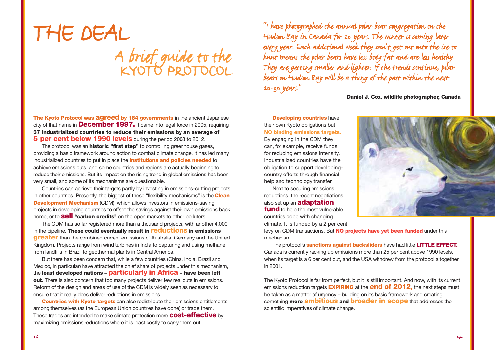# THE DEAL A brief guide to the

**The Kyoto Protocol was agreed by 184 governments** in the ancient Japanese city of that name in **December 1997.** It came into legal force in 2005, requiring **37 industrialized countries to reduce their emissions by an average of 5 per cent below 1990 levels** during the period 2008 to 2012.

The protocol was an **historic "first step"** to controlling greenhouse gases, providing a basic framework around action to combat climate change. It has led many industrialized countries to put in place the **institutions and policies needed** to achieve emissions cuts, and some countries and regions are actually beginning to reduce their emissions. But its impact on the rising trend in global emissions has been very small, and some of its mechanisms are questionable.

Countries can achieve their targets partly by investing in emissions-cutting projects in other countries. Presently, the biggest of these "flexibility mechanisms" is the **Clean Development Mechanism** (CDM), which allows investors in emissions-saving projects in developing countries to offset the savings against their own emissions back home, or to **sell "carbon credits"** on the open markets to other polluters.

The CDM has so far registered more than a thousand projects, with another 4,000 in the pipeline. **These could eventually result in reductions in emissions greater** than the combined current emissions of Australia, Germany and the United Kingdom. Projects range from wind turbines in India to capturing and using methane from landfills in Brazil to geothermal plants in Central America.

But there has been concern that, while a few countries (China, India, Brazil and Mexico, in particular) have attracted the chief share of projects under this mechanism, the **least developed nations – particularly in Africa – have been left out.** There is also concern that too many projects deliver few real cuts in emissions. Reform of the design and areas of use of the CDM is widely seen as necessary to ensure that it really does deliver reductions in emissions.

**Countries with Kyoto targets** can also redistribute their emissions entitlements among themselves (as the European Union countries have done) or trade them. These trades are intended to make climate protection more **cost-effective** by maximizing emissions reductions where it is least costly to carry them out.

"I have photographed the annual polar bear congregation on the Hudson Bay in Canada for 20 years. The winter is coming later every year. Each additional week they can't get out onto the ice to hunt means the polar bears have less body fat and are less healthy.<br>They are getting smaller and lighter. If the trends continue, polar bears on Hudson Bay will be a thing of the past within the next 20-30 years."

**Daniel J. Cox, wildlife photographer, Canada**

**Developing countries** have their own Kyoto obligations but **NO binding emissions targets.** By engaging in the CDM they can, for example, receive funds for reducing emissions intensity. Industrialized countries have the obligation to support developingcountry efforts through financial help and technology transfer.

Next to securing emissions reductions, the recent negotiations also set up an **adaptation fund** to help the most vulnerable countries cope with changing climate. It is funded by a 2 per cent

levy on CDM transactions. But **NO projects have yet been funded** under this mechanism.

The protocol's **sanctions against backsliders** have had little **LITTLE EFFECT.** Canada is currently racking up emissions more than 25 per cent above 1990 levels, when its target is a 6 per cent cut, and the USA withdrew from the protocol altogether in 2001.

The Kyoto Protocol is far from perfect, but it is still important. And now, with its current emissions reduction targets **EXPIRING** at the **end of 2012,** the next steps must be taken as a matter of urgency – building on its basic framework and creating something **more ambitious and broader in scope** that addresses the scientific imperatives of climate change.

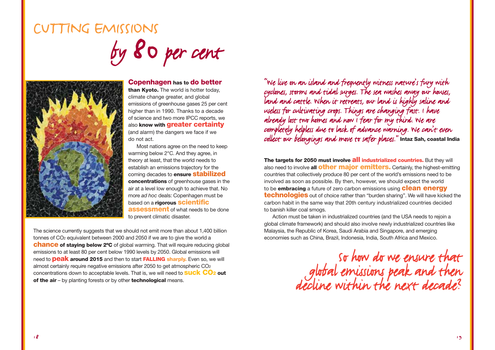### CUTTING EMISSIONS by 80per cent



#### **Copenhagen has to do better**

**than Kyoto.** The world is hotter today, climate change greater, and global emissions of greenhouse gases 25 per cent higher than in 1990. Thanks to a decade of science and two more IPCC reports, we also **know with greater certainty** (and alarm) the dangers we face if we do not act.

Most nations agree on the need to keep warming below 2°C. And they agree, in theory at least, that the world needs to establish an emissions trajectory for the coming decades to **ensure stabilized concentrations** of greenhouse gases in the air at a level low enough to achieve that. No more *ad hoc* deals: Copenhagen must be based on a **rigorous scientific assessment** of what needs to be done to prevent climatic disaster.

The science currently suggests that we should not emit more than about 1,400 billion tonnes of CO2 equivalent between 2000 and 2050 if we are to give the world a **chance of staying below 2ºC** of global warming. That will require reducing global emissions to at least 80 per cent below 1990 levels by 2050. Global emissions will need to **peak around 2015** and then to start **FALLING sharply.** Even so, we will almost certainly require negative emissions after 2050 to get atmospheric CO2 concentrations down to acceptable levels. That is, we will need to **suck CO2 out of the air** – by planting forests or by other **technological** means.

"We live on an island and frequently witness nature's fury with Land and cattle. When it retreats, our land is highly saline and useless for cultivating crops. Things are changing fast. I have<br>already lost two homes and now I fear for my third. We are completely helpless due to lack of advance warning. We can't even collect our belongings and move to safer places."**Intaz Sah, coastal India** 

**The targets for 2050 must involve all industrialized countries.** But they will also need to involve **all other major emitters.** Certainly, the highest-emitting countries that collectively produce 80 per cent of the world's emissions need to be involved as soon as possible. By then, however, we should expect the world to be **embracing** a future of zero carbon emissions using **clean energy technologies** out of choice rather than "burden sharing". We will have kicked the carbon habit in the same way that 20th century industrialized countries decided to banish killer coal smogs.

Action must be taken in industrialized countries (and the USA needs to rejoin a global climate framework) and should also involve newly industrialized countries like Malaysia, the Republic of Korea, Saudi Arabia and Singapore, and emerging economies such as China, Brazil, Indonesia, India, South Africa and Mexico.

> So how do we ensure that global emissions peak and then<br>decline within the next decade?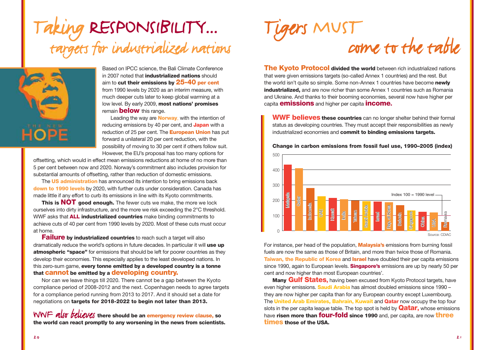### Taking RESPONSIBILITY... targets for industrialized nations



Based on IPCC science, the Bali Climate Conference in 2007 noted that **industrialized nations** should aim to **cut their emissions by 25-40 per cent** from 1990 levels by 2020 as an interim measure, with much deeper cuts later to keep global warming at a low level. By early 2009, **most nations' promises** remain **below** this range.

Leading the way are **Norway**, with the intention of reducing emissions by 40 per cent, and **Japan** with a reduction of 25 per cent. The **European Union** has put forward a unilateral 20 per cent reduction, with the possibility of moving to 30 per cent if others follow suit. However, the EU's proposal has too many options for

offsetting, which would in effect mean emissions reductions at home of no more than 5 per cent between now and 2020. Norway's commitment also includes provision for substantial amounts of offsetting, rather than reduction of domestic emissions.

The **US administration** has announced its intention to bring emissions back **down to 1990 levels** by 2020, with further cuts under consideration. Canada has made little if any effort to curb its emissions in line with its Kyoto commitments.

**This is NOT good enough.** The fewer cuts we make, the more we lock ourselves into dirty infrastructure, and the more we risk exceeding the 2°C threshold. WWF asks that **ALL industrialized countries** make binding commitments to achieve cuts of 40 per cent from 1990 levels by 2020. Most of these cuts must occur at home.

**Failure** by industrialized countries to reach such a target will also dramatically reduce the world's options in future decades. In particular it will **use up atmospheric "space"** for emissions that should be left for poorer countries as they develop their economies. This especially applies to the least developed nations. In this zero-sum game, **every tonne emitted by a developed country is a tonne that cannot be emitted by a developing country.**

Nor can we leave things till 2020. There cannot be a gap between the Kyoto compliance period of 2008-2012 and the next. Copenhagen needs to agree targets for a compliance period running from 2013 to 2017. And it should set a date for negotiations on **targets for 2018-2022 to begin not later than 2013.**

WWF also believes **there should be an emergency review clause, so the world can react promptly to any worsening in the news from scientists.**



**The Kvoto Protocol divided the world** between rich industrialized nations that were given emissions targets (so-called Annex 1 countries) and the rest. But the world isn't quite so simple. Some non-Annex 1 countries have become **newly industrialized,** and are now richer than some Annex 1 countries such as Romania and Ukraine. And thanks to their booming economies, several now have higher per capita **emissions** and higher per capita **income.**

**WWF believes these countries** can no longer shelter behind their formal status as developing countries. They must accept their responsibilities as newly industrialized economies and **commit to binding emissions targets.** 



**Change in carbon emissions from fossil fuel use, 1990–2005 (index)**

For instance, per head of the population, **Malaysia's** emissions from burning fossil fuels are now the same as those of Britain, and more than twice those of Romania. **Taiwan, the Republic of Korea** and **Israel** have doubled their per capita emissions since 1990, again to European levels. **Singapore's** emissions are up by nearly 50 per cent and now higher than most European countries'.

**Many Gulf States,** having been excused from Kyoto Protocol targets, have even higher emissions. **Saudi Arabia** has almost doubled emissions since 1990 – they are now higher per capita than for any European country except Luxembourg. The **United Arab Emirates, Bahrain, Kuwait** and **Qatar** now occupy the top four slots in the per capita league table. The top spot is held by **Qatar,** whose emissions have **risen more than four-fold since 1990** and, per capita, are now **three times those of the USA.**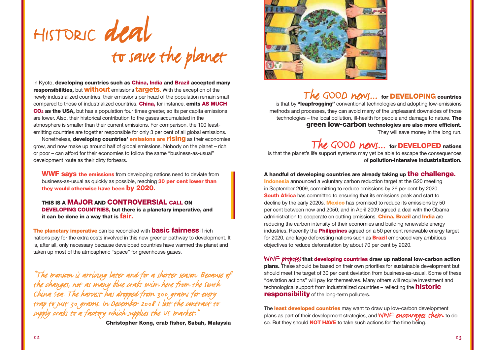

In Kyoto, **developing countries such as China, India and Brazil accepted many responsibilities,** but **without** emissions **targets.** With the exception of the newly industrialized countries, their emissions per head of the population remain small compared to those of industrialized countries. **China,** for instance, **emits AS MUCH CO2 as the USA,** but has a population four times greater, so its per capita emissions are lower. Also, their historical contribution to the gases accumulated in the atmosphere is smaller than their current emissions. For comparison, the 100 leastemitting countries are together responsible for only 3 per cent of all global emissions.

Nonetheless, **developing countries' emissions are rising** as their economies grow, and now make up around half of global emissions. Nobody on the planet – rich or poor – can afford for their economies to follow the same "business-as-usual" development route as their dirty forbears.

**WWF says the emissions** from developing nations need to deviate from business-as-usual as quickly as possible, reaching **30 per cent lower than they would otherwise have been by 2020.**

**THIS IS A MAJOR AND CONTROVERSIAL CALL ON DEVELOPING COUNTRIES, but there is a planetary imperative, and it can be done in a way that is fair.**

**The planetary imperative** can be reconciled with **basic fairness** if rich nations pay for the extra costs involved in this new greener pathway to development. It is, after all, only necessary because developed countries have warmed the planet and taken up most of the atmospheric "space" for greenhouse gases.

"The monsoon is arriving later and for a shorter season. Because of<br>the changes, not as many blue crabs swim here from the south<br>China sea. The harvest has dropped from 300 grams for every<br>trap to just 30 grams. In Decembe

**Christopher Kong, crab fisher, Sabah, Malaysia**



### The GOOD news... **for DEVELOPING countries**

is that by **"leapfrogging"** conventional technologies and adopting low-emissions methods and processes, they can avoid many of the unpleasant downsides of those technologies – the local pollution, ill-health for people and damage to nature. **The green low-carbon technologies are also more efficient.** They will save money in the long run.

### The GOOD news... **for DEVELOPED nations**

is that the planet's life support systems may yet be able to escape the consequences of **pollution-intensive industrialization.**

#### **A handful of developing countries are already taking up the challenge.**

**Indonesia** announced a voluntary carbon reduction target at the G20 meeting in September 2009, committing to reduce emissions by 26 per cent by 2020. **South Africa** has committed to ensuring that its emissions peak and start to decline by the early 2020s. **Mexico** has promised to reduce its emissions by 50 per cent between now and 2050, and in April 2009 agreed a deal with the Obama administration to cooperate on cutting emissions. **China, Brazil** and **India** are reducing the carbon intensity of their economies and building renewable energy industries. Recently the **Philippines** agreed on a 50 per cent renewable energy target for 2020, and large deforesting nations such as **Brazil** embraced very ambitious objectives to reduce deforestation by about 70 per cent by 2020.

WWF proposes **that developing countries draw up national low-carbon action plans.** These should be based on their own priorities for sustainable development but should meet the target of 30 per cent deviation from business-as-usual. Some of these "deviation actions" will pay for themselves. Many others will require investment and technological support from industrialized countries – reflecting the **historic responsibility** of the long-term polluters.

The **least developed countries** may want to draw up low-carbon development plans as part of their development strategies, and WWF encourages them to do so. But they should **NOT HAVE** to take such actions for the time being.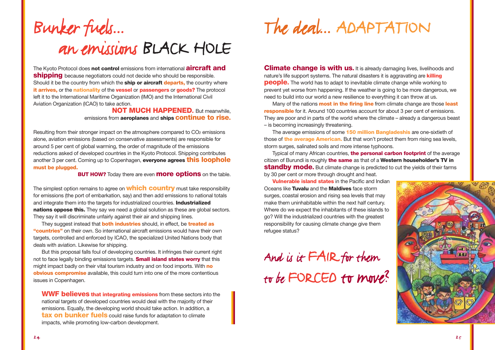### Bunker fuels... an emissions BLACK HOLE

The Kyoto Protocol does **not control** emissions from international **aircraft and shipping** because negotiators could not decide who should be responsible. Should it be the country from which the **ship or aircraft departs,** the country where **it arrives,** or the **nationality** of the **vessel** or **passengers** or **goods?** The protocol left it to the International Maritime Organization (IMO) and the International Civil Aviation Organization (ICAO) to take action.

**NOT MUCH HAPPENED.** But meanwhile, emissions from **aeroplanes** and **ships continue to rise.**

Resulting from their stronger impact on the atmosphere compared to CO<sub>2</sub> emissions alone, aviation emissions (based on conservative assessments) are responsible for around 5 per cent of global warming, the order of magnitude of the emissions reductions asked of developed countries in the Kyoto Protocol. Shipping contributes another 3 per cent. Coming up to Copenhagen, **everyone agrees this loophole must be plugged.**

**BUT HOW?** Today there are even **more options** on the table.

The simplest option remains to agree on **which country** must take responsibility for emissions (the port of embarkation, say) and then add emissions to national totals and integrate them into the targets for industrialized countries. **Industrialized nations oppose this.** They say we need a global solution as these are global sectors. They say it will discriminate unfairly against their air and shipping lines.

They suggest instead that **both industries** should, in effect, be **treated as "countries"** on their own. So international aircraft emissions would have their own targets, controlled and enforced by ICAO, the specialized United Nations body that deals with aviation. Likewise for shipping.

But this proposal falls foul of developing countries. It infringes their current right not to face legally binding emissions targets. **Small island states worry** that this might impact badly on their vital tourism industry and on food imports. With **no obvious compromise** available, this could turn into one of the more contentious issues in Copenhagen.

**WWF believes that integrating emissions** from these sectors into the national targets of developed countries would deal with the majority of their emissions. Equally, the developing world should take action. In addition, a **tax on bunker fuels** could raise funds for adaptation to climate impacts, while promoting low-carbon development.

The deal... ADAPTATION

**Climate change is with us.** It is already damaging lives, livelihoods and nature's life support systems. The natural disasters it is aggravating are **killing people.** The world has to adapt to inevitable climate change while working to prevent yet worse from happening. If the weather is going to be more dangerous, we need to build into our world a new resilience to everything it can throw at us.

Many of the nations **most in the firing line** from climate change are those **least responsible** for it. Around 100 countries account for about 3 per cent of emissions. They are poor and in parts of the world where the climate – already a dangerous beast – is becoming increasingly threatening.

The average emissions of some **150 million Bangladeshis** are one-sixtieth of those of **the average American.** But that won't protect them from rising sea levels, storm surges, salinated soils and more intense typhoons.

Typical of many African countries, **the personal carbon footprint** of the average citizen of Burundi is roughly **the same** as that of a **Western householder's TV in standby mode.** But climate change is predicted to cut the yields of their farms by 30 per cent or more through drought and heat.

**Vulnerable island states** in the Pacific and Indian Oceans like **Tuvalu** and the **Maldives** face storm surges, coastal erosion and rising sea levels that may make them uninhabitable within the next half century. Where do we expect the inhabitants of these islands to go? Will the industrialized countries with the greatest responsibility for causing climate change give them refugee status?

And is it FAIR for them to be FORCED to move?

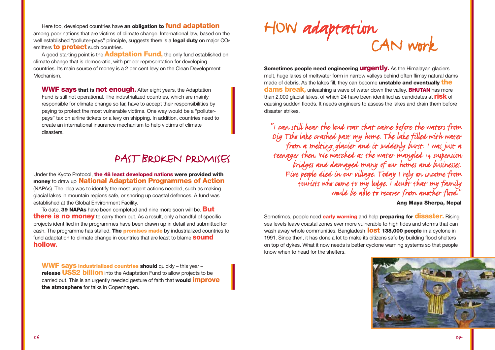Here too, developed countries have **an obligation to fund adaptation** among poor nations that are victims of climate change. International law, based on the well established "polluter-pays" principle, suggests there is a **legal duty** on major CO2 emitters **to protect** such countries.

A good starting point is the **Adaptation Fund,** the only fund established on climate change that is democratic, with proper representation for developing countries. Its main source of money is a 2 per cent levy on the Clean Development Mechanism.

**WWF says that is not enough.** After eight years, the Adaptation Fund is still not operational. The industrialized countries, which are mainly responsible for climate change so far, have to accept their responsibilities by paying to protect the most vulnerable victims. One way would be a "polluterpays" tax on airline tickets or a levy on shipping. In addition, countries need to create an international insurance mechanism to help victims of climate disasters.

### PAST BROKEN PROMISES

Under the Kyoto Protocol, **the 48 least developed nations were provided with money** to draw up **National Adaptation Programmes of Action** (NAPAs). The idea was to identify the most urgent actions needed, such as making glacial lakes in mountain regions safe, or shoring up coastal defences. A fund was established at the Global Environment Facility.

To date, **39 NAPAs** have been completed and nine more soon will be. **But there is no money** to carry them out. As a result, only a handful of specific projects identified in the programmes have been drawn up in detail and submitted for cash. The programme has stalled. **The promises made** by industrialized countries to fund adaptation to climate change in countries that are least to blame **sound hollow.**

**WWF says industrialized countries should** quickly – this year – **release US\$2 billion** into the Adaptation Fund to allow projects to be carried out. This is an urgently needed gesture of faith that **would improve the atmosphere** for talks in Copenhagen.

# HOW adaptation<br>CAN work

**Sometimes people need engineering** *urgently***.** As the Himalayan glaciers melt, huge lakes of meltwater form in narrow valleys behind often flimsy natural dams made of debris. As the lakes fill, they can become **unstable and eventually the dams break,** unleashing a wave of water down the valley. **BHUTAN** has more than 2,000 glacial lakes, of which 24 have been identified as candidates at **risk** of causing sudden floods. It needs engineers to assess the lakes and drain them before disaster strikes.

"I can still hear the loud roar that came before the waters from from a melting glacier and it suddenly burst. I was just a<br>teenager then. We watched as the water mangled 14 suspension bridges and damaged many of our homes and businesses. Five people died in our village. Today I rely on income from tourists who come to my lodge. I doubt that my family would be able to recover from another flood."

### **Ang Maya Sherpa, Nepal**

Sometimes, people need **early warning** and help **preparing for disaster.** Rising sea levels leave coastal zones ever more vulnerable to high tides and storms that can wash away whole communities. Bangladesh **lost 138,000 people** in a cyclone in 1991. Since then, it has done a lot to make its citizens safe by building flood shelters on top of dykes. What it now needs is better cyclone warning systems so that people know when to head for the shelters.

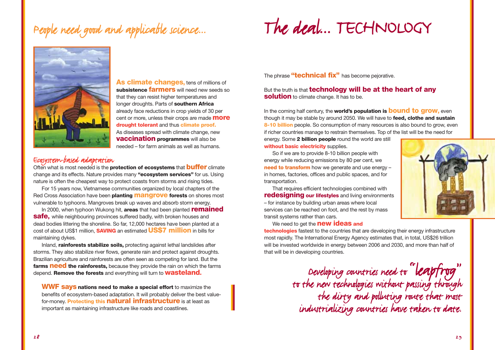### People need good and applicable science...

### The deal... TECHNOLOGY



**As climate changes, tens of millions of subsistence farmers** will need new seeds so that they can resist higher temperatures and longer droughts. Parts of **southern Africa** already face reductions in crop yields of 30 per cent or more, unless their crops are made **more drought tolerant** and thus **climate proof.** As diseases spread with climate change, new **vaccination programmes** will also be needed – for farm animals as well as humans.

Ecosystem-based adaptation<br>Often what is most needed is the **protection of ecosystems** that **buffer** climate change and its effects. Nature provides many **"ecosystem services"** for us. Using nature is often the cheapest way to protect coasts from storms and rising tides.

For 15 years now, Vietnamese communities organized by local chapters of the Red Cross Association have been **planting mangrove forests** on shores most vulnerable to typhoons. Mangroves break up waves and absorb storm energy.

In 2000, when typhoon Wukong hit, **areas** that had been planted **remained safe,** while neighbouring provinces suffered badly, with broken houses and dead bodies littering the shoreline. So far, 12,000 hectares have been planted at a cost of about US\$1 million, **SAVING** an estimated **US\$7 million** in bills for maintaining dykes.

Inland, **rainforests stabilize soils,** protecting against lethal landslides after storms. They also stabilize river flows, generate rain and protect against droughts. Brazilian agriculture and rainforests are often seen as competing for land. But the **farms need the rainforests,** because they provide the rain on which the farms depend. **Remove the forests** and everything will turn to **wasteland.**

**WWF says nations need to make a special effort** to maximize the benefits of ecosystem-based adaptation. It will probably deliver the best valuefor-money. **Protecting this natural infrastructure** is at least as important as maintaining infrastructure like roads and coastlines.

The phrase **"technical fix"** has become pejorative.

But the truth is that **technology will be at the heart of any solution** to climate change. It has to be.

In the coming half century, the **world's population is bound to grow,** even though it may be stable by around 2050. We will have to **feed, clothe and sustain 8-10 billion** people. So consumption of many resources is also bound to grow, even if richer countries manage to restrain themselves. Top of the list will be the need for

energy. Some **2 billion people** round the world are still **without basic electricity** supplies.

So if we are to provide 8-10 billion people with energy while reducing emissions by 80 per cent, we **need to transform** how we generate and use energy in homes, factories, offices and public spaces, and for transportation.

That requires efficient technologies combined with **redesigning our lifestyles** and living environments – for instance by building urban areas where local services can be reached on foot, and the rest by mass transit systems rather than cars.

We need to get the **new ideas and**

**technologies** fastest to the countries that are developing their energy infrastructure most rapidly. The International Energy Agency estimates that, in total, US\$26 trillion will be invested worldwide in energy between 2006 and 2030, and more than half of that will be in developing countries.

> Developing countries need to "leapfrog" to the new technologies without passing through the dirty and polluting route that most industrializing countries have taken to date.

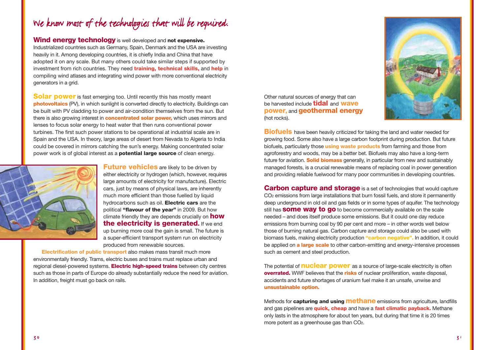### We know most of the technologies that will be required.

**Wind energy technology** is well developed and **not expensive.**

Industrialized countries such as Germany, Spain, Denmark and the USA are investing heavily in it. Among developing countries, it is chiefly India and China that have adopted it on any scale. But many others could take similar steps if supported by investment from rich countries. They need **training, technical skills,** and **help** in compiling wind atlases and integrating wind power with more conventional electricity generators in a grid.

**Solar power** is fast emerging too. Until recently this has mostly meant **photovoltaics** (PV), in which sunlight is converted directly to electricity. Buildings can be built with PV cladding to power and air-condition themselves from the sun. But there is also growing interest in **concentrated solar power,** which uses mirrors and lenses to focus solar energy to heat water that then runs conventional power turbines. The first such power stations to be operational at industrial scale are in Spain and the USA. In theory, large areas of desert from Nevada to Algeria to India could be covered in mirrors catching the sun's energy. Making concentrated solar power work is of global interest as a **potential large source** of clean energy.



**Future vehicles** are likely to be driven by either electricity or hydrogen (which, however, requires large amounts of electricity for manufacture). Electric cars, just by means of physical laws, are inherently much more efficient than those fuelled by liquid hydrocarbons such as oil. **Electric cars** are the political **"flavour of the year"** in 2009. But how climate friendly they are depends crucially on **how the electricity is generated.** If we end up burning more coal the gain is small. The future is a super-efficient transport system run on electricity produced from renewable sources.

**Electrification of public transport** also makes mass transit much more environmentally friendly. Trams, electric buses and trains must replace urban and regional diesel-powered systems. **Electric high-speed trains** between city centres such as those in parts of Europe do already substantially reduce the need for aviation. In addition, freight must go back on rails.

Other natural sources of energy that can be harvested include **tidal** and **wave power,** and **geothermal energy** (hot rocks).



**Biofuels** have been heavily criticized for taking the land and water needed for growing food. Some also have a large carbon footprint during production. But future biofuels, particularly those **using waste products** from farming and those from agroforestry and woods, may be a better bet. Biofuels may also have a long-term future for aviation. **Solid biomass** generally, in particular from new and sustainably managed forests, is a crucial renewable means of replacing coal in power generation and providing reliable fuelwood for many poor communities in developing countries.

**Carbon capture and storage** is a set of technologies that would capture CO<sub>2</sub> emissions from large installations that burn fossil fuels, and store it permanently deep underground in old oil and gas fields or in some types of aquifer. The technology still has **some way to go** to become commercially available on the scale needed – and does itself produce some emissions. But it could one day reduce emissions from burning coal by 90 per cent and more – in other words well below those of burning natural gas. Carbon capture and storage could also be used with biomass fuels, making electricity production **"carbon negative".** In addition, it could be applied on **<sup>a</sup> large scale** to other carbon-emitting and energy-intensive processes such as cement and steel production.

The potential of **nuclear power** as a source of large-scale electricity is often **overrated.** WWF believes that the **risks** of nuclear proliferation, waste disposal, accidents and future shortages of uranium fuel make it an unsafe, unwise and **unsustainable option.**

Methods for **capturing and using methane** emissions from agriculture, landfills and gas pipelines are **quick, cheap** and have a **fast climatic payback.** Methane only lasts in the atmosphere for about ten years, but during that time it is 20 times more potent as a greenhouse gas than CO<sub>2</sub>.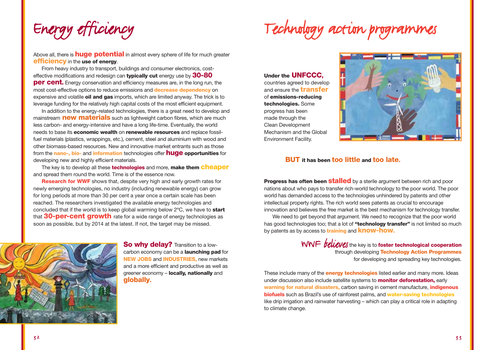Energy efficiency

### Technology action programmes

Above all, there is **huge potential** in almost every sphere of life for much greater **efficiency** in the **use of energy**.

From heavy industry to transport, buildings and consumer electronics, costeffective modifications and redesign can **typically cut** energy use by **30-80 per cent.** Energy conservation and efficiency measures are, in the long run, the most cost-effective options to reduce emissions and **decrease dependency** on expensive and volatile **oil and gas** imports, which are limited anyway. The trick is to leverage funding for the relatively high capital costs of the most efficient equipment.

In addition to the energy-related technologies, there is a great need to develop and mainstream **new materials** such as lightweight carbon fibres, which are much less carbon- and energy-intensive and have a long life-time. Eventually, the world needs to base its **economic wealth** on **renewable resources** and replace fossilfuel materials (plastics, wrappings, etc.), cement, steel and aluminium with wood and other biomass-based resources. New and innovative market entrants such as those from the **nano-, bio-** and **information** technologies offer **huge opportunities** for developing new and highly efficient materials.

The key is to develop all these **technologies** and more, **make them cheaper** and spread them round the world. Time is of the essence now.

**Research for WWF** shows that, despite very high and early growth rates for newly emerging technologies, no industry (including renewable energy) can grow for long periods at more than 30 per cent a year once a certain scale has been reached. The researchers investigated the available energy technologies and concluded that if the world is to keep global warming below 2ºC, we have to **start** that **30-per-cent growth** rate for a wide range of energy technologies as soon as possible, but by 2014 at the latest. If not, the target may be missed.



**So why delay?** Transition to a lowcarbon economy can be a **launching pad** for **NEW JOBS** and **INDUSTRIES,** new markets and a more efficient and productive as well as greener economy – **locally, nationally** and **globally.**

**Under the UNFCCC,** countries agreed to develop and ensure the **transfer** of **emissions-reducing technologies.** Some progress has been made through the Clean Development Mechanism and the Global Environment Facility.



### **BUT it has been too little and too late.**

**Progress has often been stalled** by a sterile argument between rich and poor nations about who pays to transfer rich-world technology to the poor world. The poor world has demanded access to the technologies unhindered by patents and other intellectual property rights. The rich world sees patents as crucial to encourage innovation and believes the free market is the best mechanism for technology transfer.

We need to get beyond that argument. We need to recognize that the poor world has good technologies too; that a lot of **"technology transfer"** is not limited so much by patents as by access to **training** and **know-how.**

> WWF *believes* the key is to **foster technological cooperation** through developing **Technology Action Programmes** for developing and spreading key technologies.

These include many of the **energy technologies** listed earlier and many more. Ideas under discussion also include satellite systems to **monitor deforestation,** early **warning for natural disasters,** carbon saving in cement manufacture, **indigenous biofuels** such as Brazil's use of rainforest palms, and **water-saving technologies** like drip irrigation and rainwater harvesting – which can play a critical role in adapting to climate change.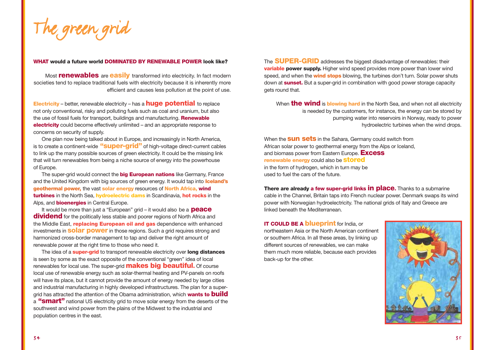The green grid

#### **WHAT would a future world DOMINATED BY RENEWABLE POWER look like?**

Most **renewables** are **easily** transformed into electricity. In fact modern societies tend to replace traditional fuels with electricity because it is inherently more efficient and causes less pollution at the point of use.

**Electricity** – better, renewable electricity – has a **huge potential** to replace not only conventional, risky and polluting fuels such as coal and uranium, but also the use of fossil fuels for transport, buildings and manufacturing. **Renewable electricity** could become effectively unlimited – and an appropriate response to concerns on security of supply.

One plan now being talked about in Europe, and increasingly in North America, is to create a continent-wide **"super-grid"** of high-voltage direct-current cables to link up the many possible sources of green electricity. It could be the missing link that will turn renewables from being a niche source of energy into the powerhouse of Europe.

The super-grid would connect the **big European nations** like Germany, France and the United Kingdom with big sources of green energy. It would tap into **Iceland's geothermal power,** the vast **solar energy** resources of **North Africa, wind turbines** in the North Sea, **hydroelectric dams** in Scandinavia, **hot rocks** in the Alps, and **bioenergies** in Central Europe.

It would be more than just a "European" grid – it would also be a **peace dividend** for the politically less stable and poorer regions of North Africa and the Middle East, **replacing European oil and gas** dependence with enhanced investments in **solar power** in those regions. Such a grid requires strong and harmonized cross-border management to tap and deliver the right amount of renewable power at the right time to those who need it.

The idea of a **super-grid** to transport renewable electricity over **long distances** is seen by some as the exact opposite of the conventional "green" idea of local renewables for local use. The super-grid **makes big beautiful.** Of course local use of renewable energy such as solar-thermal heating and PV-panels on roofs will have its place, but it cannot provide the amount of energy needed by large cities and industrial manufacturing in highly developed infrastructures. The plan for a supergrid has attracted the attention of the Obama administration, which **wants to build** <sup>a</sup> **"smart"** national US electricity grid to move solar energy from the deserts of the southwest and wind power from the plains of the Midwest to the industrial and population centres in the east.

The **SUPER-GRID** addresses the biggest disadvantage of renewables: their **variable power supply.** Higher wind speed provides more power than lower wind speed, and when the **wind stops** blowing, the turbines don't turn. Solar power shuts down at **sunset.** But a super-grid in combination with good power storage capacity gets round that.

When **the wind** is **blowing hard** in the North Sea, and when not all electricity is needed by the customers, for instance, the energy can be stored by pumping water into reservoirs in Norway, ready to power hydroelectric turbines when the wind drops.

When the **sun sets** in the Sahara, Germany could switch from African solar power to geothermal energy from the Alps or Iceland, and biomass power from Eastern Europe. **Excess renewable energy** could also be **stored** in the form of hydrogen, which in turn may be used to fuel the cars of the future.

**There are already a few super-grid links in place.** Thanks to a submarine cable in the Channel, Britain taps into French nuclear power. Denmark swaps its wind power with Norwegian hydroelectricity. The national grids of Italy and Greece are linked beneath the Mediterranean.

**IT COULD BE A blueprint** for India, or northeastern Asia or the North American continent or southern Africa. In all these areas, by linking up different sources of renewables, we can make them much more reliable, because each provides back-up for the other.

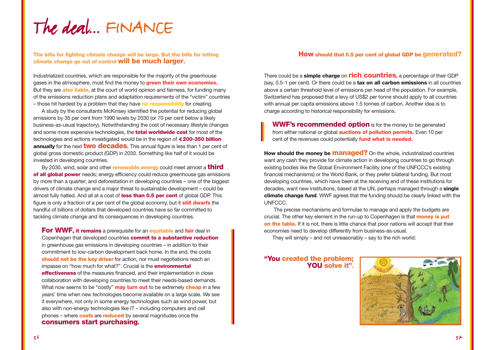The deal... FINANCE

### **The bills for fighting climate change will be large. But the bills for letting climate change go out of control will be much larger.**

Industrialized countries, which are responsible for the majority of the greenhouse gases in the atmosphere, must find the money to **green their own economies.** But they are **also liable,** at the court of world opinion and fairness, for funding many of the emissions reduction plans and adaptation requirements of the "victim" countries – those hit hardest by a problem that they have **no responsibility** for creating.

A study by the consultants McKinsey identified the potential for reducing global emissions by 35 per cent from 1990 levels by 2030 (or 70 per cent below a likely business-as-usual trajectory). Notwithstanding the cost of necessary lifestyle changes and some more expensive technologies, the **total worldwide cost** for most of the technologies and actions investigated would be in the region of **200-350 billion annually** for the next **two decades.** This annual figure is less than 1 per cent of global gross domestic product (GDP) in 2030. Something like half of it would be invested in developing countries.

By 2030, wind, solar and other **renewable energy** could meet almost a **third of all global power** needs; energy efficiency could reduce greenhouse gas emissions by more than a quarter; and deforestation in developing countries – one of the biggest drivers of climate change and a major threat to sustainable development – could be almost fully halted. And all at a cost of **less than 0.5 per cent** of global GDP. This figure is only a fraction of a per cent of the global economy, but it **still dwarfs** the handful of billions of dollars that developed countries have so far committed to tackling climate change and its consequences in developing countries.

**For WWF, it remains** a prerequisite for an **equitable** and **fair** deal in Copenhagen that developed countries **commit to a substantive reduction** in greenhouse gas emissions in developing countries – in addition to their commitment to low-carbon development back home. In the end, the costs **should not be the key driver** for action, nor must negotiations reach an impasse on "how much for what?". Crucial is the **environmental effectiveness** of the measures financed, and their implementation in close collaboration with developing countries to meet their needs-based demands. What now seems to be "costly" **may turn out** to be extremely **cheap** in a few years' time when new technologies become available on a large scale. We see it everywhere, not only in some energy technologies such as wind power, but also with non-energy technologies like IT – including computers and cell phones – where **costs** are **reduced** by several magnitudes once the **consumers start purchasing.**

#### **How should that 0.5 per cent of global GDP be generated?**

There could be a **simple charge** on **rich countries,** a percentage of their GDP (say, 0.5-1 per cent). Or there could be a **tax on all carbon emissions** in all countries above a certain threshold level of emissions per head of the population. For example, Switzerland has proposed that a levy of US\$2 per tonne should apply to all countries with annual per capita emissions above 1.5 tonnes of carbon. Another idea is to charge according to historical responsibility for emissions.

**WWF's recommended option** is for the money to be generated from either national or global **auctions of pollution permits.** Even 10 per cent of the revenues could potentially **fund what is needed.**

**How should the money be managed?** On the whole, industrialized countries want any cash they provide for climate action in developing countries to go through existing bodies like the Global Environment Facility (one of the UNFCCC's existing financial mechanisms) or the World Bank, or they prefer bilateral funding. But most developing countries, which have been at the receiving end of these institutions for decades, want new institutions, based at the UN, perhaps managed through a **single climate change fund**. WWF agrees that the funding should be clearly linked with the UNFCCC.

The precise mechanisms and formulae to manage and apply the budgets are crucial. The other key element in the run-up to Copenhagen is that **money is put on the table.** If it is not, there is little chance that poor nations will accept that their economies need to develop differently from business-as-usual.

They will simply – and not unreasonably – say to the rich world:

### **"You created the problem; YOU solve it".**

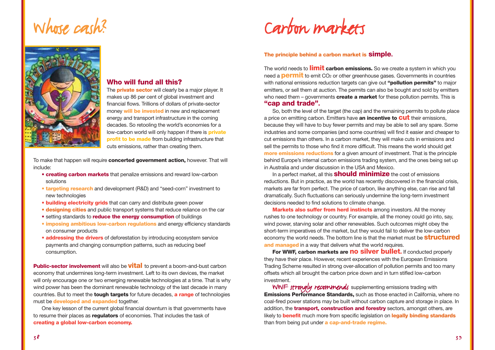### Whose cash?



### **Who will fund all this?**

The **private sector** will clearly be a major player. It makes up 86 per cent of global investment and financial flows. Trillions of dollars of private-sector money **will be invested** in new and replacement energy and transport infrastructure in the coming decades. So retooling the world's economies for a low-carbon world will only happen if there is **private profit to be made** from building infrastructure that cuts emissions, rather than creating them.

To make that happen will require **concerted government action,** however. That will include:

- **• creating carbon markets** that penalize emissions and reward low-carbon solutions
- **• targeting research** and development (R&D) and "seed-corn" investment to new technologies
- **• building electricity grids** that can carry and distribute green power
- **• designing cities** and public transport systems that reduce reliance on the car
- **•** setting standards to **reduce the energy consumption** of buildings
- **• imposing ambitious low-carbon regulations** and energy efficiency standards on consumer products
- **• addressing the drivers** of deforestation by introducing ecosystem service payments and changing consumption patterns, such as reducing beef consumption.

**Public-sector involvement** will also be **vital** to prevent a boom-and-bust carbon economy that undermines long-term investment. Left to its own devices, the market will only encourage one or two emerging renewable technologies at a time. That is why wind power has been the dominant renewable technology of the last decade in many countries. But to meet the **tough targets** for future decades, **a range** of technologies must be **developed and expanded** together.

One key lesson of the current global financial downturn is that governments have to resume their places as **regulators** of economies. That includes the task of **creating a global low-carbon economy.**

Carbon markets

### **The principle behind a carbon market is simple.**

The world needs to **limit carbon emissions.** So we create a system in which you need a **permit** to emit CO<sub>2</sub> or other greenhouse gases. Governments in countries with national emissions reduction targets can give out **"pollution permits"** to major emitters, or sell them at auction. The permits can also be bought and sold by emitters who need them – governments **create a market** for these pollution permits. This is **"cap and trade".**

So, both the level of the target (the cap) and the remaining permits to pollute place a price on emitting carbon. Emitters have **an incentive to cut** their emissions, because they will have to buy fewer permits and may be able to sell any spare. Some industries and some companies (and some countries) will find it easier and cheaper to cut emissions than others. In a carbon market, they will make cuts in emissions and sell the permits to those who find it more difficult. This means the world should get **more emissions reductions** for a given amount of investment. That is the principle behind Europe's internal carbon emissions trading system, and the ones being set up in Australia and under discussion in the USA and Mexico.

In a perfect market, all this **should minimize** the cost of emissions reductions. But in practice, as the world has recently discovered in the financial crisis, markets are far from perfect. The price of carbon, like anything else, can rise and fall dramatically. Such fluctuations can seriously undermine the long-term investment decisions needed to find solutions to climate change.

**Markets also suffer from herd instincts** among investors. All the money rushes to one technology or country. For example, all the money could go into, say, wind power, starving solar and other renewables. Such outcomes might obey the short-term imperatives of the market, but they would fail to deliver the low-carbon economy the world needs. The bottom line is that the market must be **structured and managed** in a way that delivers what the world requires.

**For WWF, carbon markets are no silver bullet.** If conducted properly they have their place. However, recent experiences with the European Emissions Trading Scheme resulted in strong over-allocation of pollution permits and too many offsets which all brought the carbon price down and in turn stifled low-carbon investment.

WWF strongly recommends supplementing emissions trading with **Emissions Performance Standards**, such as those enacted in California, where no coal-fired power stations may be built without carbon capture and storage in place. In addition, the **transport, construction and forestry** sectors, amongst others, are likely to **benefit** much more from specific legislation on **legally binding standards** than from being put under **a cap-and-trade regime.**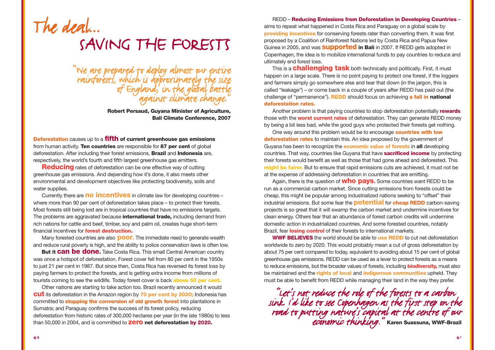

"We are prepared to deploy almost our entire<br>rainforests, which is approximately the size<br>of England, in the global battle against climate change."

> **Robert Persaud, Guyana Minister of Agriculture, Bali Climate Conference, 2007**

**Deforestation** causes up to a **fifth of current greenhouse gas emissions** from human activity. **Ten countries** are responsible for **87 per cent** of global deforestation. After including their forest emissions, **Brazil** and **Indonesia** are, respectively, the world's fourth and fifth largest greenhouse gas emitters.

**Reducing** rates of deforestation can be one effective way of cutting greenhouse gas emissions. And depending how it's done, it also meets other environmental and development objectives like protecting biodiversity, soils and water supplies.

Currently there are **no incentives** in climate law for developing countries – where more than 90 per cent of deforestation takes place – to protect their forests. Most forests still being lost are in tropical countries that have no emissions targets. The problems are aggravated because **international trade,** including demand from rich nations for cattle and beef, timber, soy and palm oil, creates huge short-term financial incentives for **forest destruction.**

Many forested countries are also **poor.** The immediate need to generate wealth and reduce rural poverty is high, and the ability to police conservation laws is often low.

**But it can be done.** Take Costa Rica. This small Central American country was once a hotspot of deforestation. Forest cover fell from 80 per cent in the 1950s to just 21 per cent in 1987. But since then, Costa Rica has reversed its forest loss by paying farmers to protect the forests, and is getting extra income from millions of tourists coming to see the wildlife. Today forest cover is back **above 50 per cent.**

Other nations are starting to take action too. Brazil recently announced it would **cut**its deforestation in the Amazon region by **70 per cent by 2020;** Indonesia has committed to **stopping the conversion of old growth forest** into plantations in Sumatra; and Paraguay confirms the success of its forest policy, reducing deforestation from historic rates of 300,000 hectares per year (in the late 1980s) to less than 50,000 in 2004, and is committed to **zero net deforestation by 2020.** 

REDD – **Reducing Emissions from Deforestation in Developing Countries** – aims to repeat what happened in Costa Rica and Paraguay on a global scale by **providing incentives** for conserving forests rater than converting them. It was first proposed by a Coalition of Rainforest Nations led by Costa Rica and Papua New Guinea in 2005, and was **supported in Bali** in 2007. If REDD gets adopted in Copenhagen, the idea is to mobilize international funds to pay countries to reduce and ultimately end forest loss.

This is a **challenging task** both technically and politically. First, it must happen on a large scale. There is no point paying to protect one forest, if the loggers and farmers simply go somewhere else and tear that down (in the jargon, this is called "leakage") – or come back in a couple of years after REDD has paid out (the challenge of "permanence"). **REDD** should focus on achieving **a fall in national deforestation rates.**

Another problem is that paying countries to stop deforestation potentially **rewards** those with the **worst current rates** of deforestation. They can generate REDD money by being a bit less bad, while the good guys who protected their forests get nothing.

One way around this problem would be to encourage **countries with low deforestation rates** to maintain this. An idea proposed by the government of Guyana has been to recognize the **economic value of forests** in **all** developing countries. That way, countries like Guyana that have **sacrificed income** by protecting their forests would benefit as well as those that had gone ahead and deforested. This **might be fairer.** But to ensure that rapid emissions cuts are achieved, it must not be at the expense of addressing deforestation in countries that are emitting.

Again, there is the question of **who pays.** Some countries want REDD to be run as a commercial carbon market. Since cutting emissions from forests could be cheap, this might be popular among industrialized nations seeking to "offset" their industrial emissions. But some fear the **potential** for **cheap REDD** carbon-saving projects is so great that it will swamp the carbon market and undermine incentives for clean energy. Others fear that an abundance of forest carbon credits will undermine domestic action in industrialized countries. And some forested countries, notably Brazil, fear **losing control** of their forests to international markets.

**WWF BELIEVES** the world should be able to **use REDD** to cut net deforestation worldwide to zero by 2020. This would probably mean a cut of gross deforestation by about 75 per cent compared to today, equivalent to avoiding about 15 per cent of global greenhouse gas emissions. REDD can be used as a lever to protect forests as a means to reduce emissions, but the broader values of forests, including **biodiversity,** must also be maintained and the **rights of local** and **indigenous communities** upheld. They must be able to benefit from REDD while managing their land in the way they prefer.

"Let's not reduce the role of the forests to a carbon sink. I'd like to see Copenhagen as the first step on the road to putting nature's capital at the centre of our economic thinking." **Karen Suassuna, WWF-Brazil**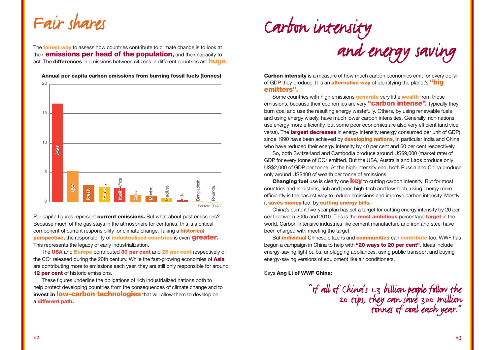### Fair shares

The **fairest way** to assess how countries contribute to climate change is to look at their **emissions per head of the population,** and their capacity to act. The **differences** in emissions between citizens in different countries are **huge.**



**Annual per capita carbon emissions from burning fossil fuels (tonnes)**

Per capita figures represent **current emissions.** But what about past emissions? Because much of the gas stays in the atmosphere for centuries, this is a critical component of current responsibility for climate change. Taking a **historical perspective,** the responsibility of **industrialized countries** is even **greater.** This represents the legacy of early industrialization.

The **USA** and **Europe** contributed **30 per cent** and **28 per cent** respectively of the CO2 released during the 20th century. While the fast-growing economies of **Asia** are contributing more to emissions each year, they are still only responsible for around **12 per cent** of historic emissions.

These figures underline the obligations of rich industrialized nations both to help protect developing countries from the consequences of climate change and to **invest in low-carbon technologies** that will allow them to develop on <sup>a</sup>**different path.**



**Carbon intensity** is a measure of how much carbon economies emit for every dollar of GDP they produce. It is an **alternative way** of identifying the planet's **"big emitters".**

Some countries with high emissions **generate** very little **wealth** from those emissions, because their economies are very **"carbon intense".** Typically they burn coal and use the resulting energy wastefully. Others, by using renewable fuels and using energy wisely, have much lower carbon intensities. Generally, rich nations use energy more efficiently, but some poor economies are also very efficient (and vice versa). The **largest decreases** in energy intensity (energy consumed per unit of GDP) since 1990 have been achieved by **developing nations,** in particular India and China, who have reduced their energy intensity by 40 per cent and 60 per cent respectively.

So, both Switzerland and Cambodia produce around US\$9,000 (market rate) of GDP for every tonne of CO2 emitted. But the USA, Australia and Laos produce only US\$2,000 of GDP per tonne. At the high-intensity end, both Russia and China produce only around US\$400 of wealth per tonne of emissions.

**Changing fuel** use is clearly one **key** to cutting carbon intensity. But for most countries and industries, rich and poor, high-tech and low-tech, using energy more efficiently is the easiest way to reduce emissions and improve carbon intensity. Mostly it **saves money** too, by **cutting energy bills.**

China's current five-year plan has set a target for cutting energy intensity by 20 per cent between 2005 and 2010. This is the **most ambitious** percentage **target** in the world. Carbon-intensive industries like cement manufacture and iron and steel have been charged with meeting the target.

But **individual** Chinese citizens and **communities** can **contribute** too. WWF has begun a campaign in China to help with **"20 ways to 20 per cent".** Ideas include energy-saving light bulbs, unplugging appliances, using public transport and buying energy-saving versions of equipment like air conditioners.

Says **Ang Li of WWF China:**

"If all of China's 1.3 billion people follow the 20 tips, they can save 300 million tonnes of coal each year."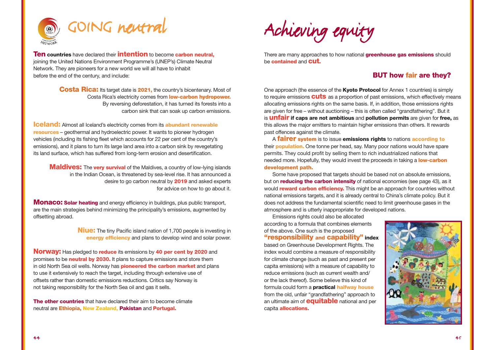

**Ten countries** have declared their **intention** to become **carbon neutral,** joining the United Nations Environment Programme's (UNEP's) Climate Neutral Network. They are pioneers for a new world we will all have to inhabit before the end of the century, and include:

> **Costa Rica:** Its target date is **2021,** the country's bicentenary. Most of Costa Rica's electricity comes from **low-carbon hydropower.** By reversing deforestation, it has turned its forests into a carbon sink that can soak up carbon emissions.

**Iceland:** Almost all Iceland's electricity comes from its **abundant renewable resources** – geothermal and hydroelectric power. It wants to pioneer hydrogen vehicles (including its fishing fleet which accounts for 22 per cent of the country's emissions), and it plans to turn its large land area into a carbon sink by revegetating its land surface, which has suffered from long-term erosion and desertification.

**Maldives:** The **very survival** of the Maldives, a country of low-lying islands in the Indian Ocean, is threatened by sea-level rise. It has announced a desire to go carbon neutral by **2019** and asked experts for advice on how to go about it.

**Monaco: Solar heating** and energy efficiency in buildings, plus public transport, are the main strategies behind minimizing the principality's emissions, augmented by offsetting abroad.

> **Niue:** The tiny Pacific island nation of 1,700 people is investing in **energy efficiency** and plans to develop wind and solar power.

**Norway:** Has pledged to **reduce** its emissions by **40 per cent by 2020** and promises to be **neutral by 2030.** It plans to capture emissions and store them in old North Sea oil wells. Norway has **pioneered the carbon market** and plans to use it extensively to reach the target, including through extensive use of offsets rather than domestic emissions reductions. Critics say Norway is not taking responsibility for the North Sea oil and gas it sells.

**The other countries** that have declared their aim to become climate neutral are **Ethiopia, New Zealand, Pakistan** and **Portugal.**



There are many approaches to how national **greenhouse gas emissions** should be **contained** and **cut.**

### **BUT how fair are they?**

One approach (the essence of the **Kyoto Protocol** for Annex 1 countries) is simply to require emissions **cuts** as a proportion of past emissions, which effectively means allocating emissions rights on the same basis. If, in addition, those emissions rights are given for free – without auctioning – this is often called "grandfathering". But it is **unfair if caps are not ambitious** and **pollution permits** are given for **free,** as this allows the major emitters to maintain higher emissions than others. It rewards past offences against the climate.

<sup>A</sup>**fairer system** is to issue **emissions rights** to nations **according to** their **population.** One tonne per head, say. Many poor nations would have spare permits. They could profit by selling them to rich industrialized nations that needed more. Hopefully, they would invest the proceeds in taking a **low-carbon development path.**

Some have proposed that targets should be based not on absolute emissions, but on **reducing the carbon intensity** of national economies (see page 43), as it would **reward carbon efficiency.** This might be an approach for countries without national emissions targets, and it is already central to China's climate policy. But it does not address the fundamental scientific need to limit greenhouse gases in the atmosphere and is utterly inappropriate for developed nations.

Emissions rights could also be allocated according to a formula that combines elements of the above. One such is the proposed **"responsibility and capability" index** based on Greenhouse Development Rights. The index would combine a measure of responsibility for climate change (such as past and present per capita emissions) with a measure of capability to reduce emissions (such as current wealth and/ or the lack thereof). Some believe this kind of formula could form a **practical halfway house** from the old, unfair "grandfathering" approach to an ultimate aim of **equitable** national and per capita **allocations.**

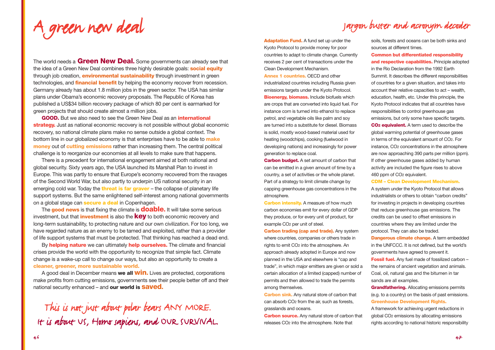<sup>A</sup> green new deal

### Jargon buster and acronym decoder

The world needs a **Green New Deal.** Some governments can already see that the idea of a Green New Deal combines three highly desirable goals: **social equity** through job creation, **environmental sustainability** through investment in green technologies, and **financial benefit** by helping the economy recover from recession. Germany already has about 1.8 million jobs in the green sector. The USA has similar plans under Obama's economic recovery proposals. The Republic of Korea has published a US\$34 billion recovery package of which 80 per cent is earmarked for green projects that should create almost a million jobs.

**GOOD.** But we also need to see the Green New Deal as an **international strategy.** Just as national economic recovery is not possible without global economic recovery, so national climate plans make no sense outside a global context. The bottom line in our globalized economy is that enterprises have to be able to **make money** out of **cutting emissions** rather than increasing them. The central political challenge is to reorganize our economies at all levels to make sure that happens.

There is a precedent for international engagement aimed at both national and global security. Sixty years ago, the USA launched its Marshall Plan to invest in Europe. This was partly to ensure that Europe's economy recovered from the ravages of the Second World War, but also partly to underpin US national security in an emerging cold war. Today the **threat is far graver** – the collapse of planetary life support systems. But the same enlightened self-interest among national governments on a global stage can **secure a deal** in Copenhagen.

The **good news** is that fixing the climate is **doable.** It will take some serious investment, but that **investment** is also the **key** to both economic recovery and long-term sustainability, to protecting nature and our own civilization. For too long, we have regarded nature as an enemy to be tamed and exploited, rather than a provider of life support systems that must be protected. That thinking has reached a dead end.

By **helping nature** we can ultimately **help ourselves.** The climate and financial crises provide the world with the opportunity to recognize that simple fact. Climate change is a wake-up call to change our ways, but also an opportunity to create a **cleaner, greener, more sustainable world.**

A good deal in December means **we all win.** Lives are protected, corporations make profits from cutting emissions, governments see their people better off and their national security enhanced – and **our world is saved.**

This is not just about polar bears ANY MORE. It is about US, Homo sapiens, and OUR SURVIVAL. **Adaptation Fund.** A fund set up under the Kyoto Protocol to provide money for poor countries to adapt to climate change. Currently receives 2 per cent of transactions under the Clean Development Mechanism. **Annex 1 countries.** OECD and other industrialized countries including Russia given emissions targets under the Kyoto Protocol. **Bioenergy, biomass.** Include biofuels which are crops that are converted into liquid fuel. For instance corn is turned into ethanol to replace petrol, and vegetable oils like palm and soy are turned into a substitute for diesel. Biomass is solid, mostly wood-based material used for heating (woodchips), cooking (fuelwood in developing nations) and increasingly for power

**Carbon budget.** A set amount of carbon that can be emitted in a given amount of time by a country, a set of activities or the whole planet. Part of a strategy to limit climate change by capping greenhouse gas concentrations in the atmosphere.

generation to replace coal.

**Carbon intensity.** A measure of how much carbon economies emit for every dollar of GDP they produce, or for every unit of product, for example CO<sub>2</sub> per unit of steel.

**Carbon trading (cap and trade).** Any system where countries, companies or others trade in rights to emit CO2 into the atmosphere. An approach already adopted in Europe and now planned in the USA and elsewhere is "cap and trade", in which major emitters are given or sold a certain allocation of a limited (capped) number of permits and then allowed to trade the permits among themselves.

**Carbon sink.** Any natural store of carbon that can absorb CO<sub>2</sub> from the air, such as forests. grasslands and oceans.

**Carbon source.** Any natural store of carbon that releases CO2 into the atmosphere. Note that

soils, forests and oceans can be both sinks and sources at different times.

**Common but differentiated responsibility and respective capabilities.** Principle adopted in the Rio Declaration from the 1992 Earth Summit. It describes the different responsibilities of countries for a given situation, and takes into account their relative capacities to act – wealth, education, health, etc. Under this principle, the Kyoto Protocol indicates that all countries have responsibilities to control greenhouse gas emissions, but only some have specific targets. **CO2 equivalent.** A term used to describe the global warming potential of greenhouse gases in terms of the equivalent amount of CO2. For instance, CO2 concentrations in the atmosphere are now approaching 390 parts per million (ppm). If other greenhouse gases added by human activity are included the figure rises to above 460 ppm of CO<sub>2</sub> equivalent.

**CDM – Clean Development Mechanism.**

A system under the Kyoto Protocol that allows industrialists or others to obtain "carbon credits" for investing in projects in developing countries that reduce greenhouse gas emissions. The credits can be used to offset emissions in countries where they are limited under the protocol. They can also be traded.

**Dangerous climate change.** A term embedded in the UNFCCC. It is not defined, but the world's governments have agreed to prevent it. **Fossil fuel.** Any fuel made of fossilized carbon – the remains of ancient vegetation and animals. Coal, oil, natural gas and the bitumen in tar sands are all examples.

**Grandfathering.** Allocating emissions permits (e.g. to a country) on the basis of past emissions. **Greenhouse Development Rights.**

A framework for achieving urgent reductions in global CO2 emissions by allocating emissions rights according to national historic responsibility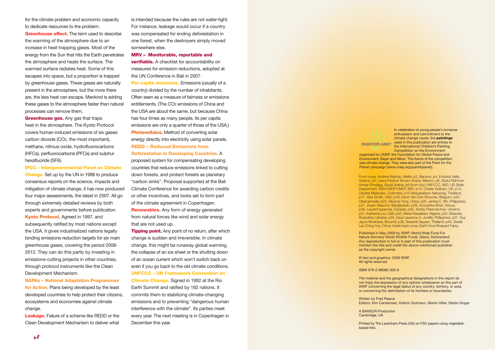for the climate problem and economic capacity to dedicate resources to the problem.

**Greenhouse effect.** The term used to describe the warming of the atmosphere due to an increase in heat-trapping gases. Most of the energy from the Sun that hits the Earth penetrates the atmosphere and heats the surface. The warmed surface radiates heat. Some of this escapes into space, but a proportion is trapped by greenhouse gases. These gases are naturally present in the atmosphere, but the more there are, the less heat can escape. Mankind is adding these gases to the atmosphere faster than natural processes can remove them.

**Greenhouse gas.** Any gas that traps heat in the atmosphere. The Kyoto Protocol covers human-induced emissions of six gases: carbon dioxide (CO2, the most important), methane, nitrous oxide, hydrofluorocarbons (HFCs), perfluorocarbons (PFCs) and sulphur hexafluoride (SF6).

**IPCC – Intergovernmental Panel on Climate Change.** Set up by the UN in 1988 to produce consensus reports on the science, impacts and mitigation of climate change, it has now produced four major assessments, the latest in 2007. All go through extremely detailed reviews by both experts and governments before publication. **Kyoto Protocol.** Agreed in 1997, and subsequently ratified by most nations except the USA, it gives industrialized nations legally binding emissions reduction targets for six main greenhouse gases, covering the period 2008- 2012. They can do this partly by investing in emissions-cutting projects in other countries, through protocol instruments like the Clean Development Mechanism.

**NAPAs – National Adaptation Programmes for Action.** Plans being developed by the least developed countries to help protect their citizens, ecosystems and economies against climate change.

**Leakage.** Failure of a scheme like REDD or the Clean Development Mechanism to deliver what is intended because the rules are not water-tight. For instance, leakage would occur if a country was compensated for ending deforestation in one forest, when the destroyers simply moved somewhere else.

#### **MRV – Monitorable, reportable and**

**verifiable.** A checklist for accountability on measures for emission reductions, adopted at the UN Conference in Bali in 2007.

**Per capita emissions.** Emissions (usually of a country) divided by the number of inhabitants. Often seen as a measure of fairness or emissions entitlements. (The CO2 emissions of China and the USA are about the same, but because China has four times as many people, its per capita emissions are only a quarter of those of the USA.) **Photovoltaics.** Method of converting solar energy directly into electricity using solar panels. **REDD – Reduced Emissions from Deforestation in Developing Countries.** A proposed system for compensating developing countries that reduce emissions linked to cutting down forests, and protect forests as planetary "carbon sinks". Proposal supported at the Bali Climate Conference for awarding carbon credits or other incentives, and looks set to form part of the climate agreement in Copenhagen. **Renewables.** Any form of energy generated from natural forces like wind and solar energy that are not used up.

**Tipping point.** Any point of no return, after which change is sudden and irreversible. In climate change, this might be runaway global warming, the collapse of an ice sheet or the shutting down of an ocean current which won't switch back on even if you go back to the old climate conditions. **UNFCCC – UN Framework Convention on Climate Change.** Signed in 1992 at the Rio Earth Summit and ratified by 192 nations. It commits them to stabilizing climate-changing emissions and to preventing "dangerous human interference with the climate". Its parties meet every year. The next meeting is in Copenhagen in December this year.

In celebration of young people's immense enthusiasm and commitment to the climate change cause, the **paintings** PAINT FIREPLANET used in this publication are entries to the International Children's Painting Competition on the Environment organized by UNEP, the Foundation for Global Peace and Environment, Bayer and Nikon. The theme of the competition was climate change. They were also part of the Paint for the Planet campaign (www.unep.org/paint4planet).

Front cover, Andrew Bartolo, Malta; p3, Banson; p4, Evdokia Vallis, Greece; p5. Laura Paulina Tercero Araiza, Mexico; p6, Abdul Rahman Anwar Elmeligg, Saudi Arabia; p9 (from top) UNFCCC, IISD, US State Department, IISD/UNDP/UNEP, IISD; p13, Charlie Sullivan, UK; p14, Daniela Melendez, Colombia; p15 Netpakaikarn Netwong, Thailand; p17, Alex Smith, USA; p18, Kevin Van Den Broucke, Belgium; p20, Obamamedia; p23, Gloria Ip Tung, China; p25, Jerrika C. Shi, Philippines; p27, Zayan Masood, Bangladesh; p28, Anoushka Bhari, Kenya; p29, Laurent Ipperciel, Canada; p30, Andriy Palamarchuk, Ukraine; p31, Katherine Liu, USA; p32, Maria Kassabian, Nigeria; p33, Elizaveta Rossokha, Ukraine; p35, Dave Laurence A. Juntilla, Philippines; p37, Guy Jayce Nindorera, Burundi; p38, Tewanat Saypan, Thailand; p45, Giselle Lau Ching Yue, China; Inside back cover, Earth Hour/Shepard Fairey.

Published in May 2009 by WWF–World Wide Fund For Nature (formerly World Wildlife Fund), Gland, Switzerland. Any reproduction in full or in part of this publication must mention the title and credit the above-mentioned publisher as the copyright owner.

© text and graphics: 2009 WWF All rights reserved

ISBN 978-2-88085-300-6

The material and the geographical designations in this report do not imply the expression of any opinion whatsoever on the part of WWF concerning the legal status of any country, territory, or area, or concerning the delimitation of its frontiers or boundaries.

Written by Fred Pearce Editors: Kim Carstensen, Kathrin Gutmann, Martin Hiller, Stefan Singer

A BANSON Production Cambridge, UK

Printed by The Lavenham Press (UK) on FSC papers using vegetablebased inks.